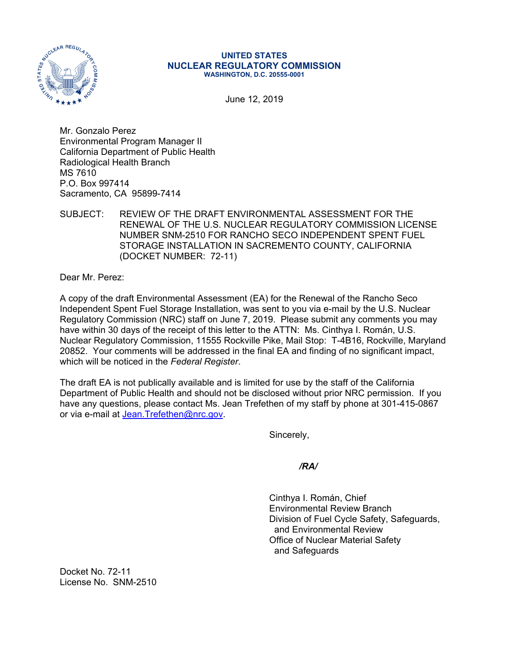

## **UNITED STATES NUCLEAR REGULATORY COMMISSION WASHINGTON, D.C. 20555-0001**

June 12, 2019

Mr. Gonzalo Perez Environmental Program Manager II California Department of Public Health Radiological Health Branch MS 7610 P.O. Box 997414 Sacramento, CA 95899-7414

## SUBJECT: REVIEW OF THE DRAFT ENVIRONMENTAL ASSESSMENT FOR THE RENEWAL OF THE U.S. NUCLEAR REGULATORY COMMISSION LICENSE NUMBER SNM-2510 FOR RANCHO SECO INDEPENDENT SPENT FUEL STORAGE INSTALLATION IN SACREMENTO COUNTY, CALIFORNIA (DOCKET NUMBER: 72-11)

Dear Mr. Perez:

A copy of the draft Environmental Assessment (EA) for the Renewal of the Rancho Seco Independent Spent Fuel Storage Installation, was sent to you via e-mail by the U.S. Nuclear Regulatory Commission (NRC) staff on June 7, 2019. Please submit any comments you may have within 30 days of the receipt of this letter to the ATTN: Ms. Cinthya I. Román, U.S. Nuclear Regulatory Commission, 11555 Rockville Pike, Mail Stop: T-4B16, Rockville, Maryland 20852. Your comments will be addressed in the final EA and finding of no significant impact, which will be noticed in the *Federal Register*.

The draft EA is not publically available and is limited for use by the staff of the California Department of Public Health and should not be disclosed without prior NRC permission. If you have any questions, please contact Ms. Jean Trefethen of my staff by phone at 301-415-0867 or via e-mail at Jean.Trefethen@nrc.gov.

Sincerely,

*/RA/* 

 Cinthya I. Román, Chief Environmental Review Branch Division of Fuel Cycle Safety, Safeguards, and Environmental Review Office of Nuclear Material Safety and Safeguards

Docket No. 72-11 License No. SNM-2510